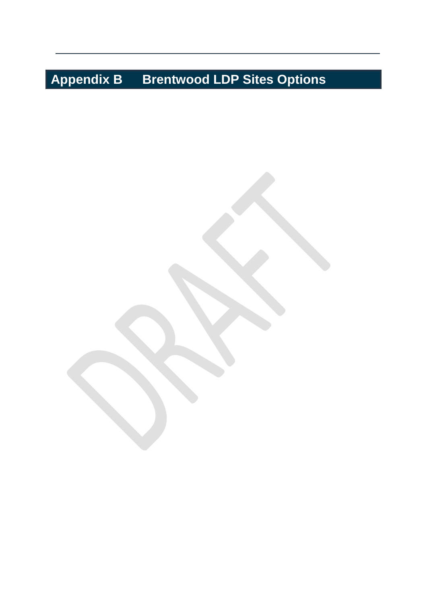## **Appendix B Brentwood LDP Sites Options**

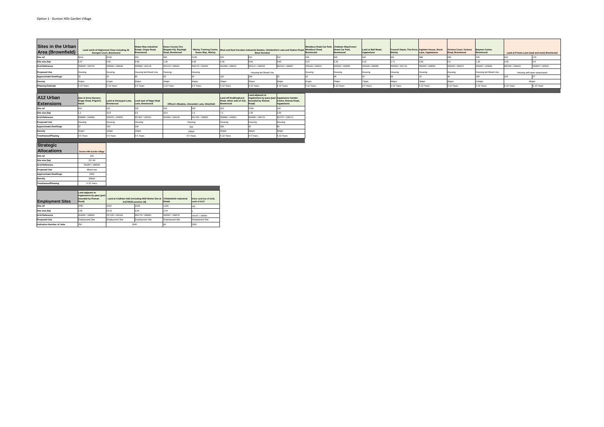| Sites in the Urban<br><b>Area (Brownfield)</b> | <b>Georges Court, Brentwood</b>                                                    | Land north of Highwood Close including St                                | <b>Wates Way Industrial</b><br>Estate, Ongar Road,<br><b>Brentwood</b>                                                               | <b>Essex County Fire</b><br>Brigade HQ, Rayleigh<br>Road, Brentwood | <b>Essex Way, Warley</b>                    |                                                                                                       | <b>West Horndon</b>                                                               | Warley Training Centre, West and East Horndon Industrial Estates, Childerditch Lane and Station Road, Westbury Road, | Westbury Road Car Park, Chatham Way/Crown<br>Brentwood | <b>Street Car Park,</b><br><b>Brentwood</b> | Land at Bell Mead,<br>Ingatestone | Council Depot, The Drive, Ingleton House, Stock<br>Warley | Lane, Ingatestone | Victoria Court, Victoria<br>Road, Brentwood | <b>Baytree Centre,</b><br>Brentwood |                 | Land at Priests Lane (east and west) Brentwood |
|------------------------------------------------|------------------------------------------------------------------------------------|--------------------------------------------------------------------------|--------------------------------------------------------------------------------------------------------------------------------------|---------------------------------------------------------------------|---------------------------------------------|-------------------------------------------------------------------------------------------------------|-----------------------------------------------------------------------------------|----------------------------------------------------------------------------------------------------------------------|--------------------------------------------------------|---------------------------------------------|-----------------------------------|-----------------------------------------------------------|-------------------|---------------------------------------------|-------------------------------------|-----------------|------------------------------------------------|
| Site ref                                       | 001A                                                                               | 001B                                                                     | 003                                                                                                                                  | 005                                                                 | 013B                                        | 020                                                                                                   | 021                                                                               | 152                                                                                                                  |                                                        | 040                                         | 042                               |                                                           |                   | 099                                         | 100                                 |                 |                                                |
| Site size (ha)                                 | 0.47                                                                               | 0.81                                                                     | 0.96                                                                                                                                 | 1.26                                                                | 0.66                                        | 6.39                                                                                                  | 9.84                                                                              | 0.83                                                                                                                 | 0.27                                                   | 0.33                                        | 0.22                              | .71                                                       | 0.26              | 0.5                                         | 1.34                                | 4.45            |                                                |
| <b>Grid Reference</b>                          | 558646 / 194725                                                                    | 558590 / 196648                                                          | 559598 / 194116                                                                                                                      | 562123 / 195021                                                     | 559175 / 191820                             | 561696 / 188031                                                                                       | 562121 / 188152                                                                   | 562314 / 188207                                                                                                      | 559129 / 193612                                        | 559332 / 193635                             | 565008 / 199395                   | 559493 / 191716                                           | 565263 / 199655   | 559106 / 192973                             | 559487 / 193693                     | 560780 / 193619 | 560667 / 193521                                |
| <b>Proposed Use</b>                            | Housing                                                                            | Housing                                                                  | Housing led Mixed-Use                                                                                                                | lousing                                                             | Housing                                     |                                                                                                       | Housing led Mixed-Use                                                             |                                                                                                                      | Housing                                                | Housing                                     | Housing                           | Housing                                                   | Housing           | Housing                                     | Housing led Mixed-Use               |                 | Housing with open space/sport                  |
| <b>Approximate Dwellings</b>                   | 20                                                                                 | 32                                                                       |                                                                                                                                      |                                                                     |                                             | 192                                                                                                   | 295                                                                               |                                                                                                                      |                                                        |                                             |                                   |                                                           |                   |                                             | 200                                 | 104             |                                                |
| <b>Density</b>                                 | 41dph                                                                              | 41dph                                                                    | 83dph                                                                                                                                | 40dph                                                               | 40dph                                       | 30dph                                                                                                 | 30dph                                                                             | 30dph                                                                                                                | 81dph                                                  | 79dph                                       | 73dph                             | 40dph                                                     | 38dph             | 80dph                                       | 149dph                              |                 | 96dph                                          |
| <b>Phasing Estimate</b>                        | 5-10 Years                                                                         | 5-10 Years                                                               | 0-5 Years                                                                                                                            | 5-10 Years                                                          | 0-5 Years                                   | 5-10 Years                                                                                            | 5-10 Years                                                                        | 5-10 Years                                                                                                           | 5-10 Years                                             | 5-10 Years                                  | 0-5 Years                         | 5-10 Years                                                | 5-10 Years        | 5-10 Years                                  | 5-15 Years                          | 5-10 Years      | 5-10 Years                                     |
| A12 Urban<br><b>Extensions</b>                 | Sow & Grow Nursery,<br><b>Ongar Road, Pilgrims</b><br>Hatch<br>010                 | Land at Honeypot Lane, Land east of Nags Head<br><b>Brentwood</b><br>022 | Lane, Brentwood<br>032                                                                                                               |                                                                     | Officer's Meadow, Alexander Lane, Shenfield | <b>Land off Doddinghurst</b><br>Road, either side of A12, bounded by Roman<br><b>Brentwood</b><br>023 | Land adjacent to<br>Ingatestone by-pass (part Ingatestone Garden<br>Road)<br>079A | Centre, Roman Road,<br>Ingatestone<br>128                                                                            |                                                        |                                             |                                   |                                                           |                   |                                             |                                     |                 |                                                |
| Site ref<br>Site size (ha)                     | 12                                                                                 | 10.9                                                                     |                                                                                                                                      | 20.4                                                                | 235<br>14                                   |                                                                                                       | 1.39                                                                              | 3.25                                                                                                                 |                                                        |                                             |                                   |                                                           |                   |                                             |                                     |                 |                                                |
| <b>Grid Reference</b>                          | 558089 / 194859                                                                    | 558225 / 193655                                                          | 557487 / 192523                                                                                                                      | 561863 / 196140                                                     | 561760 / 195800                             | 558980 / 194951                                                                                       | 563990 / 198710                                                                   | 563757 / 198174                                                                                                      |                                                        |                                             |                                   |                                                           |                   |                                             |                                     |                 |                                                |
| <b>Proposed Use</b>                            | Housing                                                                            | Housing                                                                  | Housing                                                                                                                              |                                                                     | Housing                                     | Housing                                                                                               | Housing                                                                           | Housing                                                                                                              |                                                        |                                             |                                   |                                                           |                   |                                             |                                     |                 |                                                |
| <b>Approximate Dwellings</b>                   | 37                                                                                 | 150                                                                      | 130                                                                                                                                  |                                                                     | 500                                         | 250                                                                                                   | 42                                                                                |                                                                                                                      |                                                        |                                             |                                   |                                                           |                   |                                             |                                     |                 |                                                |
| <b>Density</b>                                 | 31dph                                                                              | 14dph                                                                    | 22dph                                                                                                                                |                                                                     | 23dph                                       | 35dph                                                                                                 | 30dph                                                                             | 30dph                                                                                                                |                                                        |                                             |                                   |                                                           |                   |                                             |                                     |                 |                                                |
| Timeframes/Phasing                             | 0-5 Years                                                                          | 0-5 Years                                                                | 0-5 Years                                                                                                                            |                                                                     | 0-5 Years                                   | 5-10 Years                                                                                            | 0-5 Years                                                                         | 5-10 Years                                                                                                           |                                                        |                                             |                                   |                                                           |                   |                                             |                                     |                 |                                                |
|                                                |                                                                                    |                                                                          |                                                                                                                                      |                                                                     |                                             |                                                                                                       |                                                                                   |                                                                                                                      |                                                        |                                             |                                   |                                                           |                   |                                             |                                     |                 |                                                |
| <b>Strategic</b>                               |                                                                                    |                                                                          |                                                                                                                                      |                                                                     |                                             |                                                                                                       |                                                                                   |                                                                                                                      |                                                        |                                             |                                   |                                                           |                   |                                             |                                     |                 |                                                |
| <b>Allocations</b>                             | <b>Dunton Hills Garden Village</b>                                                 |                                                                          |                                                                                                                                      |                                                                     |                                             |                                                                                                       |                                                                                   |                                                                                                                      |                                                        |                                             |                                   |                                                           |                   |                                             |                                     |                 |                                                |
| Site ref                                       | 200                                                                                |                                                                          |                                                                                                                                      |                                                                     |                                             |                                                                                                       |                                                                                   |                                                                                                                      |                                                        |                                             |                                   |                                                           |                   |                                             |                                     |                 |                                                |
| Site size (ha)                                 | 237.49                                                                             |                                                                          |                                                                                                                                      |                                                                     |                                             |                                                                                                       |                                                                                   |                                                                                                                      |                                                        |                                             |                                   |                                                           |                   |                                             |                                     |                 |                                                |
| <b>Grid Reference</b>                          | 564297 / 188694                                                                    |                                                                          |                                                                                                                                      |                                                                     |                                             |                                                                                                       |                                                                                   |                                                                                                                      |                                                        |                                             |                                   |                                                           |                   |                                             |                                     |                 |                                                |
| <b>Proposed Use</b>                            | Mixed-use                                                                          |                                                                          |                                                                                                                                      |                                                                     |                                             |                                                                                                       |                                                                                   |                                                                                                                      |                                                        |                                             |                                   |                                                           |                   |                                             |                                     |                 |                                                |
| <b>Approximate Dwellings</b>                   | 2500                                                                               |                                                                          |                                                                                                                                      |                                                                     |                                             |                                                                                                       |                                                                                   |                                                                                                                      |                                                        |                                             |                                   |                                                           |                   |                                             |                                     |                 |                                                |
| <b>Density</b>                                 | 30dph                                                                              |                                                                          |                                                                                                                                      |                                                                     |                                             |                                                                                                       |                                                                                   |                                                                                                                      |                                                        |                                             |                                   |                                                           |                   |                                             |                                     |                 |                                                |
| Timeframes/Phasing                             | 5-15 Years                                                                         |                                                                          |                                                                                                                                      |                                                                     |                                             |                                                                                                       |                                                                                   |                                                                                                                      |                                                        |                                             |                                   |                                                           |                   |                                             |                                     |                 |                                                |
|                                                |                                                                                    |                                                                          |                                                                                                                                      |                                                                     |                                             |                                                                                                       |                                                                                   |                                                                                                                      |                                                        |                                             |                                   |                                                           |                   |                                             |                                     |                 |                                                |
| <b>Employment Sites</b><br>Site ref            | Land adjacent to<br>Ingatestone by-pass (part<br>bounded by Roman<br>Road)<br>079C | 101A                                                                     | Land at Codham Hall (including M25 Works Site at Childerditch Industrial Fintire Land East of A128,<br>A127/M25 junction 29)<br>101B | Estate<br>112D                                                      | south of A127                               |                                                                                                       |                                                                                   |                                                                                                                      |                                                        |                                             |                                   |                                                           |                   |                                             |                                     |                 |                                                |
| Site size (ha)                                 | 2.06                                                                               | 23.41                                                                    | 4.04                                                                                                                                 | 2.34                                                                | 200                                         |                                                                                                       |                                                                                   |                                                                                                                      |                                                        |                                             |                                   |                                                           |                   |                                             |                                     |                 |                                                |
| <b>Grid Reference</b>                          | 564066 / 198856                                                                    | 557106 / 192418                                                          | 558779 / 188860                                                                                                                      | 560597 / 189576                                                     | 564297 / 188694                             |                                                                                                       |                                                                                   |                                                                                                                      |                                                        |                                             |                                   |                                                           |                   |                                             |                                     |                 |                                                |
| <b>Proposed Use</b>                            | <b>Employment Site</b>                                                             | <b>Employment Site</b>                                                   | <b>Employment Site</b>                                                                                                               | <b>Employment Site</b>                                              | <b>Employment Site</b>                      |                                                                                                       |                                                                                   |                                                                                                                      |                                                        |                                             |                                   |                                                           |                   |                                             |                                     |                 |                                                |
| <b>Indicative Number of Jobs</b>               | 250                                                                                |                                                                          | 2645                                                                                                                                 |                                                                     | 1500                                        |                                                                                                       |                                                                                   |                                                                                                                      |                                                        |                                             |                                   |                                                           |                   |                                             |                                     |                 |                                                |

2645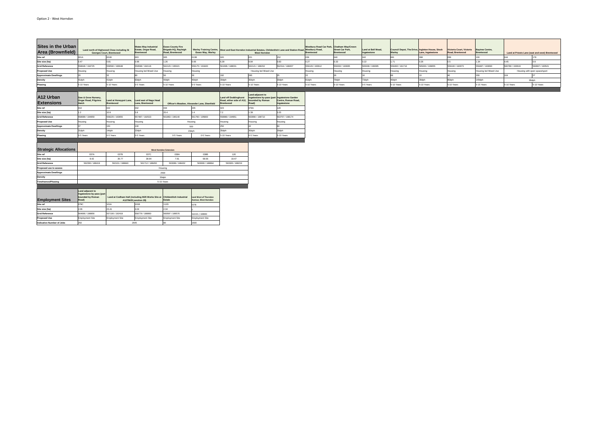| Sites in the Urban<br><b>Area (Brownfield)</b> |                                                                                    | Land north of Highwood Close including St<br><b>Georges Court, Brentwood</b> | <b>Wates Way Industrial</b><br>Estate, Ongar Road,<br><b>Brentwood</b>                            | <b>Essex County Fire</b><br>Brigade HQ, Rayleigh<br>Road, Brentwood | <b>Essex Way, Warley</b>                                    |                                                                                                | <b>West Horndon</b>                                                       | Warley Training Centre, West and East Horndon Industrial Estates, Childerditch Lane and Station Road, Westbury Road, | Westbury Road Car Park, Chatham Way/Crown<br><b>Brentwood</b> | Street Car Park,<br><b>Brentwood</b> | Land at Bell Mead,<br>Ingatestone | Council Depot, The Drive, Ingleton House, Stock<br>Warley | Lane, Ingatestone | Victoria Court, Victoria<br>Road, Brentwood | Baytree Centre,<br>Brentwood |                 | Land at Priests Lane (east and west) Brentwood |
|------------------------------------------------|------------------------------------------------------------------------------------|------------------------------------------------------------------------------|---------------------------------------------------------------------------------------------------|---------------------------------------------------------------------|-------------------------------------------------------------|------------------------------------------------------------------------------------------------|---------------------------------------------------------------------------|----------------------------------------------------------------------------------------------------------------------|---------------------------------------------------------------|--------------------------------------|-----------------------------------|-----------------------------------------------------------|-------------------|---------------------------------------------|------------------------------|-----------------|------------------------------------------------|
| Site ref                                       | 001A                                                                               | 001B                                                                         | 003                                                                                               |                                                                     | 013B                                                        | 020                                                                                            | 021                                                                       | 152                                                                                                                  |                                                               | 040                                  | 042                               |                                                           |                   | 099                                         | 100                          |                 | 178                                            |
| Site size (ha)                                 | 0.47                                                                               | 0.81                                                                         | 0.96                                                                                              | 1.26                                                                | 0.66                                                        | 6.39                                                                                           | 9.84                                                                      | 0.83                                                                                                                 | 0.27                                                          | 0.33                                 | 0.22                              | 1.71                                                      | 0.26              |                                             | 1.34                         | 4.45            |                                                |
| <b>Grid Reference</b>                          | 558646 / 194725                                                                    | 558590 / 196648                                                              | 559598 / 194116                                                                                   | 562123 / 195021                                                     | 559175 / 191820                                             | 561696 / 188031                                                                                | 562121 / 188152                                                           | 562314 / 188207                                                                                                      | 559129 / 193612                                               | 559332 / 193635                      | 565008 / 199395                   | 559493 / 191716                                           | 565263 / 199655   | 559106 / 192973                             | 559487 / 193693              | 560780 / 193619 | 560667 / 193521                                |
| <b>Proposed Use</b>                            | Housing                                                                            | Housing                                                                      | Housing led Mixed-Use                                                                             | Housing                                                             | Housing                                                     |                                                                                                | Housing led Mixed-Use                                                     |                                                                                                                      | Housing                                                       | Housing                              | Housing                           | Housing                                                   | Housing           | Housing                                     | Housing led Mixed-Use        |                 | Housing with open space/sport                  |
| <b>Approximate Dwellings</b>                   | 20                                                                                 | 32                                                                           |                                                                                                   |                                                                     |                                                             | 192                                                                                            | 295                                                                       | 25                                                                                                                   | 22                                                            | 26                                   | 16                                |                                                           |                   |                                             | 200                          | 104             |                                                |
| <b>Density</b>                                 | 41dph                                                                              | 41dph                                                                        | 83dph                                                                                             | 40dph                                                               | 40dph                                                       | 30dph                                                                                          | 30dph                                                                     | 30dph                                                                                                                | 81dph                                                         | 79dph                                | 73dph                             | 40dph                                                     | 38dph             | 80dph                                       | 149dph                       |                 | 96dph                                          |
| Phasing                                        | 5-10 Years                                                                         | 5-10 Years                                                                   | 0-5 Years                                                                                         | 5-10 Years                                                          | 0-5 Years                                                   | 5-10 Years                                                                                     | 5-10 Years                                                                | 5-10 Years                                                                                                           | 5-10 Years                                                    | 5-10 Years                           | 0-5 Years                         | 5-10 Years                                                | 5-10 Years        | 5-10 Years                                  | 5-15 Years                   | 5-10 Years      | 5-10 Years                                     |
|                                                |                                                                                    |                                                                              |                                                                                                   |                                                                     |                                                             |                                                                                                |                                                                           |                                                                                                                      |                                                               |                                      |                                   |                                                           |                   |                                             |                              |                 |                                                |
| A12 Urban<br><b>Extensions</b>                 | Sow & Grow Nursery,<br>Ongar Road, Pilgrims<br>Hatch                               | Land at Honeypot Lane, Land east of Nags Head<br><b>Brentwood</b>            | Lane, Brentwood                                                                                   | Officer's Meadow, Alexander Lane, Shenfield                         |                                                             | <b>Land off Doddinghurst</b><br>Road, either side of A12, bounded by Roman<br><b>Brentwood</b> | Land adjacent to<br>Ingatestone by-pass (part Ingatestone Garden<br>Road) | Centre, Roman Road,<br>Ingatestone                                                                                   |                                                               |                                      |                                   |                                                           |                   |                                             |                              |                 |                                                |
| Site ref                                       |                                                                                    | 022                                                                          |                                                                                                   |                                                                     | 235                                                         | 023                                                                                            | 079A                                                                      | 128                                                                                                                  |                                                               |                                      |                                   |                                                           |                   |                                             |                              |                 |                                                |
| Site size (ha)                                 |                                                                                    | 10.9                                                                         | 58                                                                                                | 20.4                                                                |                                                             | 7.2                                                                                            | 1.39                                                                      | 3.25                                                                                                                 |                                                               |                                      |                                   |                                                           |                   |                                             |                              |                 |                                                |
| <b>Grid Reference</b>                          | 558089 / 194859                                                                    | 558225 / 193655                                                              | 557487 / 192523                                                                                   | 561863 / 196140                                                     | 561760 / 195800                                             | 558980 / 194951                                                                                | 563990 / 198710                                                           | 563757 / 198174                                                                                                      |                                                               |                                      |                                   |                                                           |                   |                                             |                              |                 |                                                |
| <b>Proposed Use</b>                            | Housing                                                                            | Housing                                                                      | Housing                                                                                           | Housing                                                             |                                                             | Housing                                                                                        | Housing                                                                   | Housing                                                                                                              |                                                               |                                      |                                   |                                                           |                   |                                             |                              |                 |                                                |
| <b>Approximate Dwellings</b>                   | 27                                                                                 | 150                                                                          | 130                                                                                               |                                                                     | 500                                                         | 250                                                                                            | $\Delta$                                                                  | <b>GO</b>                                                                                                            |                                                               |                                      |                                   |                                                           |                   |                                             |                              |                 |                                                |
| <b>Density</b>                                 | 31dph                                                                              | 14dph                                                                        | 22dph                                                                                             | 23dph                                                               |                                                             | 35dph                                                                                          | 30dph                                                                     | 30dph                                                                                                                |                                                               |                                      |                                   |                                                           |                   |                                             |                              |                 |                                                |
| Phasing                                        | 0-5 Years                                                                          | 0-5 Years                                                                    | 0-5 Years                                                                                         | 0-5 Years                                                           | 0-5 Years                                                   | 5-10 Years                                                                                     | 0-5 Years                                                                 | 5-10 Years                                                                                                           |                                                               |                                      |                                   |                                                           |                   |                                             |                              |                 |                                                |
| <b>Strategic Allocations</b>                   |                                                                                    |                                                                              |                                                                                                   | <b>West Horndon Extension</b>                                       |                                                             |                                                                                                |                                                                           |                                                                                                                      |                                                               |                                      |                                   |                                                           |                   |                                             |                              |                 |                                                |
| Site ref                                       | 037A                                                                               | 037B                                                                         | 037C                                                                                              | 038A                                                                | 038B                                                        | 126                                                                                            |                                                                           |                                                                                                                      |                                                               |                                      |                                   |                                                           |                   |                                             |                              |                 |                                                |
| Site size (ha)                                 | 8.42                                                                               | 35.77                                                                        | 38.94                                                                                             | 7.91                                                                | 68.56                                                       | 19.47                                                                                          |                                                                           |                                                                                                                      |                                                               |                                      |                                   |                                                           |                   |                                             |                              |                 |                                                |
| <b>Grid Reference</b>                          | 562330 / 188419                                                                    | 562101 / 188840                                                              | 561712 / 188450                                                                                   | 563089 / 188432                                                     | 563006 / 188894                                             | 563326 / 188219                                                                                |                                                                           |                                                                                                                      |                                                               |                                      |                                   |                                                           |                   |                                             |                              |                 |                                                |
| Proposed use to assess                         |                                                                                    |                                                                              |                                                                                                   | Housing                                                             |                                                             |                                                                                                |                                                                           |                                                                                                                      |                                                               |                                      |                                   |                                                           |                   |                                             |                              |                 |                                                |
| <b>Approximate Dwellings</b>                   |                                                                                    |                                                                              |                                                                                                   | 2500                                                                |                                                             |                                                                                                |                                                                           |                                                                                                                      |                                                               |                                      |                                   |                                                           |                   |                                             |                              |                 |                                                |
| <b>Density</b>                                 |                                                                                    |                                                                              |                                                                                                   | 30dph                                                               |                                                             |                                                                                                |                                                                           |                                                                                                                      |                                                               |                                      |                                   |                                                           |                   |                                             |                              |                 |                                                |
| Timeframes/Phasing                             |                                                                                    |                                                                              |                                                                                                   | 5-15 Years                                                          |                                                             |                                                                                                |                                                                           |                                                                                                                      |                                                               |                                      |                                   |                                                           |                   |                                             |                              |                 |                                                |
| <b>Employment Sites</b>                        | Land adjacent to<br>Ingatestone by-pass (part<br>bounded by Roman<br>$\vert$ Road) |                                                                              | Land at Codham Hall (including M25 Works Site at Childerditch Industrial<br>A127/M25 junction 29) | Estate                                                              | <b>Land West of Thorndon</b><br><b>Avenue, West Horndon</b> |                                                                                                |                                                                           |                                                                                                                      |                                                               |                                      |                                   |                                                           |                   |                                             |                              |                 |                                                |
| Site ref                                       | 079C                                                                               | 101A                                                                         | 101B                                                                                              | 112D                                                                | 037B                                                        |                                                                                                |                                                                           |                                                                                                                      |                                                               |                                      |                                   |                                                           |                   |                                             |                              |                 |                                                |
| Site size (ha)                                 | 2.06                                                                               | 23.41                                                                        | 4.04                                                                                              | 2.34                                                                |                                                             |                                                                                                |                                                                           |                                                                                                                      |                                                               |                                      |                                   |                                                           |                   |                                             |                              |                 |                                                |
| <b>Grid Reference</b>                          | 564066 / 198856                                                                    | 557106 / 192418                                                              | 558779 / 188860                                                                                   | 560597 / 189576                                                     | 562101 / 188840                                             |                                                                                                |                                                                           |                                                                                                                      |                                                               |                                      |                                   |                                                           |                   |                                             |                              |                 |                                                |
| <b>Proposed Use</b>                            | <b>Employment Site</b>                                                             | <b>Employment Site</b>                                                       | <b>Employment Site</b>                                                                            | <b>Employment Site</b>                                              | <b>Employment Site</b>                                      |                                                                                                |                                                                           |                                                                                                                      |                                                               |                                      |                                   |                                                           |                   |                                             |                              |                 |                                                |
| <b>Indicative Number of Jobs</b>               | 250                                                                                |                                                                              | 2645                                                                                              |                                                                     | 1500                                                        |                                                                                                |                                                                           |                                                                                                                      |                                                               |                                      |                                   |                                                           |                   |                                             |                              |                 |                                                |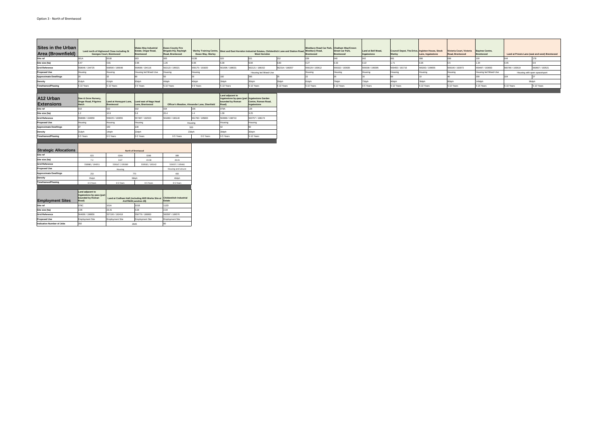| Sites in the Urban<br><b>Area (Brownfield)</b> | <b>Georges Court, Brentwood</b>                                            | Land north of Highwood Close including St                         | <b>Wates Way Industrial</b><br>Estate, Ongar Road,<br><b>Brentwood</b>                            | <b>Essex County Fire</b><br>Brigade HQ, Rayleigh<br>Road, Brentwood | <b>Essex Way, Warley</b>                    |                                                                                               | Warley Training Centre, West and East Horndon Industrial Estates, Childerditch Lane and Station Road, Westbury Road,<br><b>West Horndon</b> |                 | Westbury Road Car Park, Chatham Way/Crown<br><b>Brentwood</b> | <b>Street Car Park,</b><br><b>Brentwood</b> | Land at Bell Mead,<br>Ingatestone | Council Depot, The Drive, Ingleton House, Stock<br>Warley | Lane, Ingatestone | Victoria Court, Victoria<br>Road, Brentwood | Baytree Centre,<br>Brentwood |                               | Land at Priests Lane (east and west) Brentwood |
|------------------------------------------------|----------------------------------------------------------------------------|-------------------------------------------------------------------|---------------------------------------------------------------------------------------------------|---------------------------------------------------------------------|---------------------------------------------|-----------------------------------------------------------------------------------------------|---------------------------------------------------------------------------------------------------------------------------------------------|-----------------|---------------------------------------------------------------|---------------------------------------------|-----------------------------------|-----------------------------------------------------------|-------------------|---------------------------------------------|------------------------------|-------------------------------|------------------------------------------------|
| Site ref                                       | 001A                                                                       | 001B                                                              | 003                                                                                               |                                                                     | 013B                                        | 020                                                                                           | 021                                                                                                                                         | 152             |                                                               | 040                                         | 042                               |                                                           |                   | 099                                         | 100                          |                               |                                                |
| Site size (ha)                                 | 0.47                                                                       | 0.81                                                              | 0.96                                                                                              | 1.26                                                                | 0.66                                        | 3.39                                                                                          | 9.84                                                                                                                                        | 0.83            | 0.27                                                          |                                             | 0.22                              | 1.71                                                      | 0.26              |                                             | 1.34                         | 4.45                          |                                                |
| <b>Grid Reference</b>                          | 558646 / 194725                                                            | 558590 / 196648                                                   | 559598 / 194116                                                                                   | 562123 / 195021                                                     | 559175 / 191820                             | 561696 / 188031                                                                               | 562121 / 188152                                                                                                                             | 562314 / 188207 | 559129 / 193612                                               | 559332 / 193635                             | 565008 / 199395                   | 559493 / 191716                                           | 565263 / 199655   | 559106 / 192973                             | 559487 / 193693              | 560780 / 193619               | 560667 / 193521                                |
| <b>Proposed Use</b>                            | Housing                                                                    | Housing                                                           | Housing led Mixed-Use                                                                             | lousing                                                             | Housing                                     |                                                                                               | Housing led Mixed-Use                                                                                                                       |                 | Housing                                                       | Housing                                     | Housing                           | Housing                                                   | Housing           | Housing                                     | Housing led Mixed-Use        | Housing with open space/sport |                                                |
| <b>Approximate Dwellings</b>                   | 20                                                                         | 32                                                                |                                                                                                   |                                                                     |                                             | 192                                                                                           | 295                                                                                                                                         |                 |                                                               |                                             | 16                                |                                                           |                   |                                             | 200                          | 104                           |                                                |
| <b>Density</b>                                 | 41dph                                                                      | 41dph                                                             | 83dph                                                                                             | 40dph                                                               | 40dph                                       | 30dph                                                                                         | 30dph                                                                                                                                       | 30dph           | 81dph                                                         | 79dph                                       | 73dph                             | 40dph                                                     | 38dph             | 80dph                                       | 149dph                       | 96dph                         |                                                |
| <b>Timeframes/Phasing</b>                      | 5-10 Years                                                                 | 5-10 Years                                                        | 0-5 Years                                                                                         | 5-10 Years                                                          | 0-5 Years                                   | 5-10 Years                                                                                    | 5-10 Years                                                                                                                                  | 5-10 Years      | 5-10 Years                                                    | 5-10 Years                                  | 0-5 Years                         | 5-10 Years                                                | 5-10 Years        | 5-10 Years                                  | 5-15 Years                   | 5-10 Years                    | 5-10 Years                                     |
| A12 Urban<br><b>Extensions</b>                 | Sow & Grow Nursery,<br>Ongar Road, Pilgrims<br>Hatch                       | Land at Honeypot Lane, Land east of Nags Head<br><b>Brentwood</b> | Lane, Brentwood                                                                                   |                                                                     | Officer's Meadow, Alexander Lane, Shenfield | Land adjacent to<br>Ingatestone by-pass (part Ingatestone Garden<br>bounded by Roman<br>Road) | Centre, Roman Road,<br>Ingatestone                                                                                                          |                 |                                                               |                                             |                                   |                                                           |                   |                                             |                              |                               |                                                |
| Site ref                                       | 010                                                                        | 022                                                               |                                                                                                   |                                                                     | 235                                         | 079A                                                                                          | 128                                                                                                                                         |                 |                                                               |                                             |                                   |                                                           |                   |                                             |                              |                               |                                                |
| Site size (ha)                                 |                                                                            | 10.9                                                              |                                                                                                   | 20.4                                                                | $\overline{a}$                              | 1.39                                                                                          | 3.25                                                                                                                                        |                 |                                                               |                                             |                                   |                                                           |                   |                                             |                              |                               |                                                |
| <b>Grid Reference</b>                          | 558089 / 194859                                                            | 558225 / 193655                                                   | 557487 / 192523                                                                                   | 561863 / 196140                                                     | 561760 / 195800                             | 563990 / 198710                                                                               | 563757 / 198174                                                                                                                             |                 |                                                               |                                             |                                   |                                                           |                   |                                             |                              |                               |                                                |
| <b>Proposed Use</b>                            | Housing                                                                    | Housing                                                           | Housing                                                                                           |                                                                     | Housing                                     | Housing                                                                                       | Housing                                                                                                                                     |                 |                                                               |                                             |                                   |                                                           |                   |                                             |                              |                               |                                                |
| <b>Approximate Dwellings</b>                   | 37                                                                         | 150                                                               | 130                                                                                               |                                                                     | 500                                         |                                                                                               | RΠ                                                                                                                                          |                 |                                                               |                                             |                                   |                                                           |                   |                                             |                              |                               |                                                |
| <b>Density</b>                                 | 31dph                                                                      | 14dph                                                             | 22dph                                                                                             |                                                                     | 23dph                                       | 30dph                                                                                         | 30dph                                                                                                                                       |                 |                                                               |                                             |                                   |                                                           |                   |                                             |                              |                               |                                                |
| <b>Timeframes/Phasing</b>                      | 0-5 Years                                                                  | 0-5 Years                                                         | 0-5 Years                                                                                         | 0-5 Years                                                           | 0-5 Years                                   | 0-5 Years                                                                                     | 5-10 Years                                                                                                                                  |                 |                                                               |                                             |                                   |                                                           |                   |                                             |                              |                               |                                                |
| <b>Strategic Allocations</b>                   |                                                                            |                                                                   | <b>North of Brentwood</b>                                                                         |                                                                     |                                             |                                                                                               |                                                                                                                                             |                 |                                                               |                                             |                                   |                                                           |                   |                                             |                              |                               |                                                |
| Site ref                                       | 023                                                                        | 024A                                                              | 024B                                                                                              | 089                                                                 |                                             |                                                                                               |                                                                                                                                             |                 |                                                               |                                             |                                   |                                                           |                   |                                             |                              |                               |                                                |
| Site size (ha)                                 | 7.2                                                                        | 0.67                                                              | 19.58                                                                                             | 20.01                                                               |                                             |                                                                                               |                                                                                                                                             |                 |                                                               |                                             |                                   |                                                           |                   |                                             |                              |                               |                                                |
| <b>Grid Reference</b>                          | 558980 / 194951                                                            | 559167 / 195069                                                   | 559582 / 195142                                                                                   | 559357 / 195461                                                     |                                             |                                                                                               |                                                                                                                                             |                 |                                                               |                                             |                                   |                                                           |                   |                                             |                              |                               |                                                |
| <b>Proposed Use</b>                            |                                                                            | Housing                                                           |                                                                                                   | Housing and Leisure                                                 |                                             |                                                                                               |                                                                                                                                             |                 |                                                               |                                             |                                   |                                                           |                   |                                             |                              |                               |                                                |
| <b>Approximate Dwellings</b>                   | 250                                                                        |                                                                   | 770                                                                                               | 400                                                                 |                                             |                                                                                               |                                                                                                                                             |                 |                                                               |                                             |                                   |                                                           |                   |                                             |                              |                               |                                                |
| <b>Density</b>                                 | 35dph                                                                      |                                                                   | 38dph                                                                                             | 40dph                                                               |                                             |                                                                                               |                                                                                                                                             |                 |                                                               |                                             |                                   |                                                           |                   |                                             |                              |                               |                                                |
| Timeframes/Phasing                             | 0-5 Years                                                                  | 0-5 Years                                                         | 0-5 Years                                                                                         | 0-5 Years                                                           |                                             |                                                                                               |                                                                                                                                             |                 |                                                               |                                             |                                   |                                                           |                   |                                             |                              |                               |                                                |
| <b>Employment Sites</b>                        | Land adjacent to<br>Ingatestone by-pass (part<br>bounded by Roman<br>Road) |                                                                   | Land at Codham Hall (including M25 Works Site at Childerditch Industrial<br>A127/M25 junction 29) | Estate                                                              |                                             |                                                                                               |                                                                                                                                             |                 |                                                               |                                             |                                   |                                                           |                   |                                             |                              |                               |                                                |
| Site ref                                       | 079C                                                                       | 101A                                                              | 101B                                                                                              | 112D                                                                |                                             |                                                                                               |                                                                                                                                             |                 |                                                               |                                             |                                   |                                                           |                   |                                             |                              |                               |                                                |
| Site size (ha)                                 | 2.06                                                                       | 23.41                                                             | 4.04                                                                                              | 2.34                                                                |                                             |                                                                                               |                                                                                                                                             |                 |                                                               |                                             |                                   |                                                           |                   |                                             |                              |                               |                                                |
| <b>Grid Reference</b>                          | 564066 / 198856                                                            | 557106 / 192418                                                   | 558779 / 188860                                                                                   | 560597 / 189576                                                     |                                             |                                                                                               |                                                                                                                                             |                 |                                                               |                                             |                                   |                                                           |                   |                                             |                              |                               |                                                |
| <b>Proposed Use</b>                            | <b>Employment Site</b>                                                     | <b>Employment Site</b>                                            | <b>Employment Site</b>                                                                            | <b>Employment Site</b>                                              |                                             |                                                                                               |                                                                                                                                             |                 |                                                               |                                             |                                   |                                                           |                   |                                             |                              |                               |                                                |
| <b>Indicative Number of Jobs</b>               | 250                                                                        |                                                                   | 2645                                                                                              |                                                                     |                                             |                                                                                               |                                                                                                                                             |                 |                                                               |                                             |                                   |                                                           |                   |                                             |                              |                               |                                                |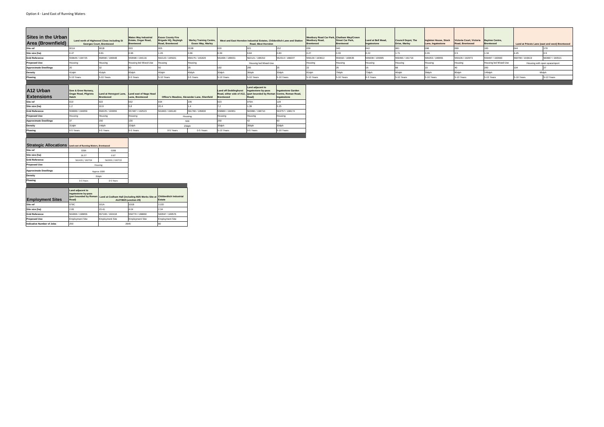| Sites in the Urban                                           |                                                                                                                          |                                                                              | <b>Wates Way Industrial</b>                   | <b>Essex County Fire</b>                |                                                            |                       |                                                                                               |                    | Westbury Road Car Park, Chatham Way/Crown |                                             |                                   |                                     |                                            |                                             |                              |                 |                                                |
|--------------------------------------------------------------|--------------------------------------------------------------------------------------------------------------------------|------------------------------------------------------------------------------|-----------------------------------------------|-----------------------------------------|------------------------------------------------------------|-----------------------|-----------------------------------------------------------------------------------------------|--------------------|-------------------------------------------|---------------------------------------------|-----------------------------------|-------------------------------------|--------------------------------------------|---------------------------------------------|------------------------------|-----------------|------------------------------------------------|
|                                                              |                                                                                                                          | Land north of Highwood Close including St<br><b>Georges Court, Brentwood</b> | Estate, Ongar Road,<br><b>Brentwood</b>       | Brigade HQ, Rayleigh<br>Road, Brentwood | <b>Warley Training Centre,</b><br><b>Essex Way, Warley</b> |                       | West and East Horndon Industrial Estates, Childerditch Lane and Station<br>Road, West Horndon |                    | <b>Westbury Road,</b><br>Brentwood        | <b>Street Car Park,</b><br><b>Brentwood</b> | Land at Bell Mead,<br>Ingatestone | Council Depot, The<br>Drive, Warley | Ingleton House, Stock<br>Lane, Ingatestone | Victoria Court, Victoria<br>Road, Brentwood | Baytree Centre,<br>Brentwood |                 | Land at Priests Lane (east and west) Brentwood |
| <b>Area (Brownfield)</b>                                     | 001A                                                                                                                     | 001B                                                                         | 003                                           | 005                                     | 013B                                                       | 020                   | 021                                                                                           | 152                |                                           | 040                                         | 042                               | 081                                 | 098                                        |                                             | 100                          | 044             | 178                                            |
| Site size (ha)                                               | 0.47                                                                                                                     | 0.81                                                                         | 0.96                                          | 1.26                                    | 0.66                                                       | 6.39                  | 9.84                                                                                          | 0.83               | 0.27                                      | 0.33                                        | 0.22                              | 1.71                                | 0.26                                       | 0.5                                         | 1.34                         | 4.45            | 0.9                                            |
| <b>Grid Reference</b>                                        | 558646 / 194725                                                                                                          | 558590 / 196648                                                              | 559598 / 194116                               | 562123 / 195021                         | 559175 / 191820                                            | 561696 / 188031       | 562121 / 188152                                                                               | 562314 / 188207    | 559129 / 193612                           | 559332 / 193635                             | 565008 / 199395                   | 559493 / 191716                     | 565263 / 199655                            | 559106 / 192973                             | 559487 / 193693              | 560780 / 193619 | 560667 / 193521                                |
| <b>Proposed Use</b>                                          | Housing                                                                                                                  | Housing                                                                      | Housing led Mixed-Use                         | Housing                                 | Housing                                                    |                       | Housing led Mixed-Use                                                                         |                    | Housing                                   | Housing                                     | Housing                           | Housing                             | Housing                                    | Housing                                     | Housing led Mixed-Use        |                 | Housing with open space/sport                  |
| <b>Approximate Dwellings</b>                                 |                                                                                                                          | 32                                                                           |                                               | <b>150</b>                              | 26                                                         | 192                   | 295                                                                                           | 25                 | 22                                        |                                             |                                   |                                     |                                            | 40                                          | 200                          | 104             | 27                                             |
| <b>Density</b>                                               | 41dph                                                                                                                    | 41dph                                                                        | 83dph                                         | 40dph                                   | 40dph                                                      | 30dph                 | 30dph                                                                                         | 30dph              | 81dph                                     | 79dph                                       | 73dph                             | 40dph                               | 38dph                                      | 80dph                                       | 149dph                       |                 | 96dph                                          |
| Phasing                                                      | 5-10 Years                                                                                                               | 5-10 Years                                                                   | 0-5 Years                                     | 5-10 Years                              | 0-5 Years                                                  | 5-10 Years            | 5-10 Years                                                                                    | 5-10 Years         | 5-10 Years                                | 5-10 Years                                  | 0-5 Years                         | 5-10 Years                          | 5-10 Years                                 | 5-10 Years                                  | 5-15 Years                   | 5-10 Years      | 5-10 Years                                     |
|                                                              |                                                                                                                          |                                                                              |                                               |                                         |                                                            |                       |                                                                                               |                    |                                           |                                             |                                   |                                     |                                            |                                             |                              |                 |                                                |
|                                                              |                                                                                                                          |                                                                              |                                               |                                         |                                                            |                       | Land adjacent to                                                                              |                    |                                           |                                             |                                   |                                     |                                            |                                             |                              |                 |                                                |
| A12 Urban                                                    | Sow & Grow Nursery,<br>Ongar Road, Pilgrims                                                                              |                                                                              | Land at Honeypot Lane, Land east of Nags Head |                                         |                                                            | Land off Doddinghurst | Ingatestone by-pass<br>Road, either side of A12, (part bounded by Roman Centre, Roman Road,   | Ingatestone Garden |                                           |                                             |                                   |                                     |                                            |                                             |                              |                 |                                                |
| <b>Extensions</b>                                            | Hatch                                                                                                                    | <b>Brentwood</b>                                                             | Lane, Brentwood                               |                                         | Officer's Meadow, Alexander Lane, Shenfield                | Brentwood             | Road)                                                                                         | Ingatestone        |                                           |                                             |                                   |                                     |                                            |                                             |                              |                 |                                                |
| Site ref                                                     | 010                                                                                                                      | 022                                                                          | 032                                           | 034                                     | 235                                                        |                       | 079A                                                                                          | 128                |                                           |                                             |                                   |                                     |                                            |                                             |                              |                 |                                                |
| Site size (ha)                                               |                                                                                                                          | 10.9                                                                         | 5.8                                           | 20.4                                    | 14                                                         |                       | 1.39                                                                                          | 3.25               |                                           |                                             |                                   |                                     |                                            |                                             |                              |                 |                                                |
| <b>Grid Reference</b>                                        | 558089 / 194859                                                                                                          | 558225 / 193655                                                              | 557487 / 192523                               | 561863 / 196140                         | 561760 / 195800                                            | 558980 / 194951       | 563990 / 198710                                                                               | 563757 / 198174    |                                           |                                             |                                   |                                     |                                            |                                             |                              |                 |                                                |
| <b>Proposed Use</b>                                          | Housing                                                                                                                  | Housing                                                                      | Housing                                       |                                         | Housing                                                    | Housing               | Housing                                                                                       | Housing            |                                           |                                             |                                   |                                     |                                            |                                             |                              |                 |                                                |
| <b>Approximate Dwellings</b>                                 |                                                                                                                          | 150                                                                          | 130                                           |                                         | 500                                                        | 250                   | 42                                                                                            | 60                 |                                           |                                             |                                   |                                     |                                            |                                             |                              |                 |                                                |
| <b>Density</b>                                               | 31dph                                                                                                                    | 14dph                                                                        | 22dph                                         |                                         | 23dph                                                      | 35dph                 | 30dph                                                                                         | 30dph              |                                           |                                             |                                   |                                     |                                            |                                             |                              |                 |                                                |
| Phasing                                                      | 0-5 Years                                                                                                                | 0-5 Years                                                                    | 0-5 Years                                     | 0-5 Years                               | 0-5 Years                                                  | 5-10 Years            | 0-5 Years                                                                                     | 5-10 Years         |                                           |                                             |                                   |                                     |                                            |                                             |                              |                 |                                                |
|                                                              |                                                                                                                          |                                                                              |                                               |                                         |                                                            |                       |                                                                                               |                    |                                           |                                             |                                   |                                     |                                            |                                             |                              |                 |                                                |
|                                                              |                                                                                                                          |                                                                              |                                               |                                         |                                                            |                       |                                                                                               |                    |                                           |                                             |                                   |                                     |                                            |                                             |                              |                 |                                                |
| Strategic Allocations Land east of Running Waters, Brentwood |                                                                                                                          |                                                                              |                                               |                                         |                                                            |                       |                                                                                               |                    |                                           |                                             |                                   |                                     |                                            |                                             |                              |                 |                                                |
| Site ref                                                     | 028A                                                                                                                     | 028B                                                                         |                                               |                                         |                                                            |                       |                                                                                               |                    |                                           |                                             |                                   |                                     |                                            |                                             |                              |                 |                                                |
| Site size (ha)                                               | 26.57                                                                                                                    | 0.67                                                                         |                                               |                                         |                                                            |                       |                                                                                               |                    |                                           |                                             |                                   |                                     |                                            |                                             |                              |                 |                                                |
| <b>Grid Reference</b>                                        | 561435 / 192724                                                                                                          | 561933 / 192722                                                              |                                               |                                         |                                                            |                       |                                                                                               |                    |                                           |                                             |                                   |                                     |                                            |                                             |                              |                 |                                                |
| <b>Proposed Use</b>                                          |                                                                                                                          | Housing                                                                      |                                               |                                         |                                                            |                       |                                                                                               |                    |                                           |                                             |                                   |                                     |                                            |                                             |                              |                 |                                                |
| <b>Approximate Dwellings</b>                                 |                                                                                                                          | Approx 1000                                                                  |                                               |                                         |                                                            |                       |                                                                                               |                    |                                           |                                             |                                   |                                     |                                            |                                             |                              |                 |                                                |
| Density                                                      |                                                                                                                          | 35dph                                                                        |                                               |                                         |                                                            |                       |                                                                                               |                    |                                           |                                             |                                   |                                     |                                            |                                             |                              |                 |                                                |
| <b>Phasing</b>                                               | 0-5 Years                                                                                                                | 0-5 Years                                                                    |                                               |                                         |                                                            |                       |                                                                                               |                    |                                           |                                             |                                   |                                     |                                            |                                             |                              |                 |                                                |
|                                                              |                                                                                                                          |                                                                              |                                               |                                         |                                                            |                       |                                                                                               |                    |                                           |                                             |                                   |                                     |                                            |                                             |                              |                 |                                                |
|                                                              | Land adjacent to                                                                                                         |                                                                              |                                               |                                         |                                                            |                       |                                                                                               |                    |                                           |                                             |                                   |                                     |                                            |                                             |                              |                 |                                                |
|                                                              | Ingatestone by-pass<br>(part bounded by Roman   Land at Codham Hall (including M25 Works Site at Childerditch Industrial |                                                                              |                                               |                                         |                                                            |                       |                                                                                               |                    |                                           |                                             |                                   |                                     |                                            |                                             |                              |                 |                                                |
| <b>Employment Sites</b>                                      | Road)                                                                                                                    |                                                                              | A127/M25 junction 29)                         | Estate                                  |                                                            |                       |                                                                                               |                    |                                           |                                             |                                   |                                     |                                            |                                             |                              |                 |                                                |
| Site ref                                                     | 079C                                                                                                                     | 101A                                                                         | 101B                                          | 112D                                    |                                                            |                       |                                                                                               |                    |                                           |                                             |                                   |                                     |                                            |                                             |                              |                 |                                                |
| Site size (ha)                                               | 2.06                                                                                                                     | 23.41                                                                        | 4.04                                          | 2.34                                    |                                                            |                       |                                                                                               |                    |                                           |                                             |                                   |                                     |                                            |                                             |                              |                 |                                                |
| <b>Grid Reference</b>                                        | 564066 / 198856                                                                                                          | 557106 / 192418                                                              | 558779 / 188860                               | 560597 / 189576                         |                                                            |                       |                                                                                               |                    |                                           |                                             |                                   |                                     |                                            |                                             |                              |                 |                                                |
| <b>Proposed Use</b>                                          | <b>Employment Site</b>                                                                                                   | <b>Employment Site</b>                                                       | <b>Employment Site</b>                        | <b>Employment Site</b>                  |                                                            |                       |                                                                                               |                    |                                           |                                             |                                   |                                     |                                            |                                             |                              |                 |                                                |
| <b>Indicative Number of Jobs</b>                             | 250                                                                                                                      |                                                                              | 2645                                          | 80                                      |                                                            |                       |                                                                                               |                    |                                           |                                             |                                   |                                     |                                            |                                             |                              |                 |                                                |